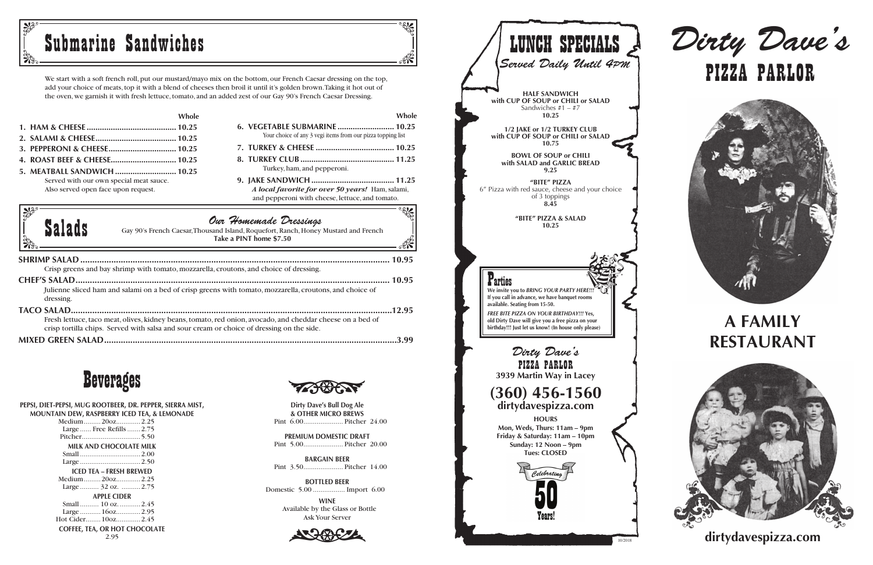We start with a soft french roll, put our mustard/mayo mix on the bottom, our French Caesar dressing on the top, add your choice of meats, top it with a blend of cheeses then broil it until it's golden brown. Taking it hot out of the oven, we garnish it with fresh lettuce, tomato, and an added zest of our Gay 90's French Caesar Dressing.

|                                         | Whole |
|-----------------------------------------|-------|
|                                         |       |
|                                         |       |
|                                         |       |
|                                         |       |
|                                         |       |
| Served with our own special meat sauce. |       |
| Also served open face upon request.     |       |
|                                         |       |

## **Whole**

 $\mathbb{R}$ 

 $\mathbb{R}$ 

- **6. VEGETABLE SUBMARINE .......................... 10.25** Your choice of any 3 vegi items from our pizza topping list
- **7. TURKEY & CHEESE .................................... 10.25 8. TURKEY CLUB ........................................... 11.25** Turkey, ham, and pepperoni.
- **9. JAKE SANDWICH ...................................... 11.25** *A local favorite for over 50 years!* Ham, salami, and pepperoni with cheese, lettuce, and tomato.





### **PEPSI, DIET-PEPSI, MUG ROOTBEER, DR. PEPPER, SIERRA MIST, MOUNTAIN DEW, RASPBERRY ICED TEA, & LEMONADE**

## **Salads** Gay 90's French Caesar, Thousand Island, Roquefort, Ranch, Honey<br>Take a PINT home \$7.50 Gay 90's French Caesar, Thousand Island, Roquefort, Ranch, Honey Mustard and French **Take a PINT home \$7.50**

| Medium20oz2.25                       |
|--------------------------------------|
| Large  Free Refills  2.75            |
|                                      |
| MILK AND CHOCOLATE MILK              |
|                                      |
|                                      |
| <b>ICED TEA - FRESH BREWED</b>       |
| Medium20oz2.25                       |
| Large  32 oz.  2.75                  |
| <b>APPLE CIDER</b>                   |
| Small  10 oz 2.45                    |
| Large  160z 2.95                     |
| Hot Cider 10oz 2.45                  |
| <b>COFFEE, TEA, OR HOT CHOCOLATE</b> |

2.95

**& OTHER MICRO BREWS Dirty Dave's Bull Dog Ale** Pint 6.00..................... Pitcher 24.00



**PREMIUM DOMESTIC DRAFT** Pint 5.00..................... Pitcher 20.00

**BARGAIN BEER** Pint 3.50..................... Pitcher 14.00

**BOTTLED BEER** Domestic 5.00 ................. Import 6.00

> **WINE** Available by the Glass or Bottle<br>Ask Your Server Ask Your Server



**dirtydavespizza.com**





## **A FAMILY RESTAURANT**



|  | Submarine Sandwiches |
|--|----------------------|
|  |                      |

| <b>LUNCH SPECIALS</b><br>Served Daily Until 4PM<br><b>HALF SANDWICH</b>                                                                                                                                                                                                                       |
|-----------------------------------------------------------------------------------------------------------------------------------------------------------------------------------------------------------------------------------------------------------------------------------------------|
| with CUP OF SOUP or CHILI or SALAD<br>Sandwiches $#1 - #7$<br>10.25                                                                                                                                                                                                                           |
| 1/2 JAKE or 1/2 TURKEY CLUB<br>with CUP OF SOUP or CHILI or SALAD<br>10.75<br><b>BOWL OF SOUP or CHILI</b>                                                                                                                                                                                    |
| with SALAD and GARLIC BREAD<br>9.25<br>"BITE" PIZZA                                                                                                                                                                                                                                           |
| 6" Pizza with red sauce, cheese and your choice<br>of 3 toppings<br>8.45                                                                                                                                                                                                                      |
| "BITE" PIZZA & SALAD<br>10.25                                                                                                                                                                                                                                                                 |
|                                                                                                                                                                                                                                                                                               |
| We invite you to BRING YOUR PARTY HERE !!!<br>If you call in advance, we have banquet rooms<br>available. Seating from 15-50.<br><b>FREE BITE PIZZA ON YOUR BIRTHDAY!!! Yes.</b><br>old Dirty Dave will give you a free pizza on your<br>birthday!!! Just let us know! (In house only please) |
| Dirty Dave's<br>PIZZA PARLOR<br>3939 Martin Way in Lacey                                                                                                                                                                                                                                      |
| $(360)$ 456-1560<br>dirtydavespizza.com<br><b>HOURS</b>                                                                                                                                                                                                                                       |
| Mon, Weds, Thurs: 11am - 9pm<br>Friday & Saturday: 11am - 10pm<br>Sunday: 12 Noon - 9pm<br><b>Tues: CLOSED</b>                                                                                                                                                                                |
| Celebrating                                                                                                                                                                                                                                                                                   |
|                                                                                                                                                                                                                                                                                               |
| Years!<br>10/2018                                                                                                                                                                                                                                                                             |

| Crisp greens and bay shrimp with tomato, mozzarella, croutons, and choice of dressing.                     |
|------------------------------------------------------------------------------------------------------------|
|                                                                                                            |
| Julienne sliced ham and salami on a bed of crisp greens with tomato, mozzarella, croutons, and choice of   |
| dressing.                                                                                                  |
|                                                                                                            |
| Fresh lettuce, taco meat, olives, kidney beans, tomato, red onion, avocado, and cheddar cheese on a bed of |
| crisp tortilla chips. Served with salsa and sour cream or choice of dressing on the side.                  |
|                                                                                                            |